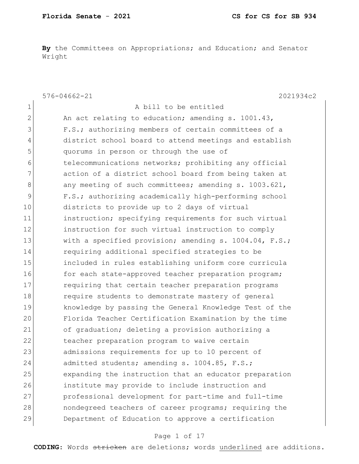**By** the Committees on Appropriations; and Education; and Senator Wright

|             | $576 - 04662 - 21$<br>2021934c2                        |
|-------------|--------------------------------------------------------|
| $\mathbf 1$ | A bill to be entitled                                  |
| 2           | An act relating to education; amending s. 1001.43,     |
| 3           | F.S.; authorizing members of certain committees of a   |
| 4           | district school board to attend meetings and establish |
| 5           | quorums in person or through the use of                |
| 6           | telecommunications networks; prohibiting any official  |
| 7           | action of a district school board from being taken at  |
| 8           | any meeting of such committees; amending s. 1003.621,  |
| 9           | F.S.; authorizing academically high-performing school  |
| 10          | districts to provide up to 2 days of virtual           |
| 11          | instruction; specifying requirements for such virtual  |
| 12          | instruction for such virtual instruction to comply     |
| 13          | with a specified provision; amending s. 1004.04, F.S.; |
| 14          | requiring additional specified strategies to be        |
| 15          | included in rules establishing uniform core curricula  |
| 16          | for each state-approved teacher preparation program;   |
| 17          | requiring that certain teacher preparation programs    |
| 18          | require students to demonstrate mastery of general     |
| 19          | knowledge by passing the General Knowledge Test of the |
| 20          | Florida Teacher Certification Examination by the time  |
| 21          | of graduation; deleting a provision authorizing a      |
| 22          | teacher preparation program to waive certain           |
| 23          | admissions requirements for up to 10 percent of        |
| 24          | admitted students; amending s. 1004.85, F.S.;          |
| 25          | expanding the instruction that an educator preparation |
| 26          | institute may provide to include instruction and       |
| 27          | professional development for part-time and full-time   |
| 28          | nondegreed teachers of career programs; requiring the  |
| 29          | Department of Education to approve a certification     |

## Page 1 of 17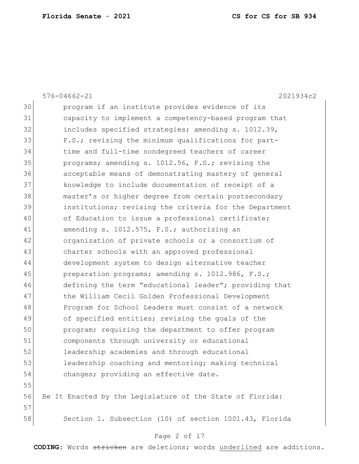|    | $576 - 04662 - 21$<br>2021934c2                           |
|----|-----------------------------------------------------------|
| 30 | program if an institute provides evidence of its          |
| 31 | capacity to implement a competency-based program that     |
| 32 | includes specified strategies; amending s. 1012.39,       |
| 33 | F.S.; revising the minimum qualifications for part-       |
| 34 | time and full-time nondegreed teachers of career          |
| 35 | programs; amending s. 1012.56, F.S.; revising the         |
| 36 | acceptable means of demonstrating mastery of general      |
| 37 | knowledge to include documentation of receipt of a        |
| 38 | master's or higher degree from certain postsecondary      |
| 39 | institutions; revising the criteria for the Department    |
| 40 | of Education to issue a professional certificate;         |
| 41 | amending s. 1012.575, F.S.; authorizing an                |
| 42 | organization of private schools or a consortium of        |
| 43 | charter schools with an approved professional             |
| 44 | development system to design alternative teacher          |
| 45 | preparation programs; amending s. 1012.986, F.S.;         |
| 46 | defining the term "educational leader"; providing that    |
| 47 | the William Cecil Golden Professional Development         |
| 48 | Program for School Leaders must consist of a network      |
| 49 | of specified entities; revising the goals of the          |
| 50 | program; requiring the department to offer program        |
| 51 | components through university or educational              |
| 52 | leadership academies and through educational              |
| 53 | leadership coaching and mentoring; making technical       |
| 54 | changes; providing an effective date.                     |
| 55 |                                                           |
| 56 | Be It Enacted by the Legislature of the State of Florida: |
| 57 |                                                           |
| 58 | Section 1. Subsection (10) of section 1001.43, Florida    |
|    |                                                           |

# Page 2 of 17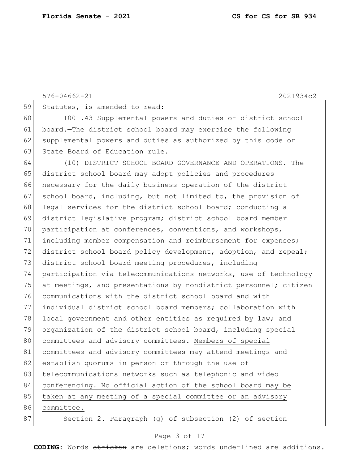576-04662-21 2021934c2 59 Statutes, is amended to read: 60 1001.43 Supplemental powers and duties of district school 61 board.—The district school board may exercise the following 62 supplemental powers and duties as authorized by this code or 63 State Board of Education rule. 64 (10) DISTRICT SCHOOL BOARD GOVERNANCE AND OPERATIONS.—The 65 district school board may adopt policies and procedures 66 necessary for the daily business operation of the district 67 school board, including, but not limited to, the provision of 68 legal services for the district school board; conducting a 69 district legislative program; district school board member 70 participation at conferences, conventions, and workshops, 71 including member compensation and reimbursement for expenses; 72 district school board policy development, adoption, and repeal; 73 district school board meeting procedures, including 74 participation via telecommunications networks, use of technology 75 at meetings, and presentations by nondistrict personnel; citizen 76 communications with the district school board and with 77 individual district school board members; collaboration with 78 local government and other entities as required by law; and 79 organization of the district school board, including special 80 committees and advisory committees. Members of special 81 committees and advisory committees may attend meetings and 82 establish quorums in person or through the use of 83 telecommunications networks such as telephonic and video 84 conferencing. No official action of the school board may be 85 taken at any meeting of a special committee or an advisory 86 committee. 87 Section 2. Paragraph (g) of subsection (2) of section

#### Page 3 of 17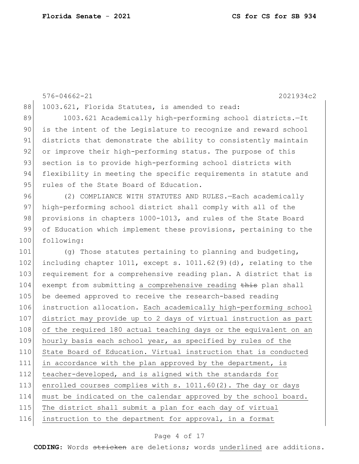```
88 1003.621, Florida Statutes, is amended to read:
89 1003.621 Academically high-performing school districts.-It
 90 is the intent of the Legislature to recognize and reward school 
91 districts that demonstrate the ability to consistently maintain
 92 or improve their high-performing status. The purpose of this
93 section is to provide high-performing school districts with
94 flexibility in meeting the specific requirements in statute and
95 rules of the State Board of Education.
96 (2) COMPLIANCE WITH STATUTES AND RULES. - Each academically
97 high-performing school district shall comply with all of the
98 provisions in chapters 1000-1013, and rules of the State Board
99 of Education which implement these provisions, pertaining to the
100 following:
101 (g) Those statutes pertaining to planning and budgeting,
102 including chapter 1011, except s. 1011.62(9)(d), relating to the
103 requirement for a comprehensive reading plan. A district that is
104 exempt from submitting a comprehensive reading this plan shall
105 be deemed approved to receive the research-based reading
106 instruction allocation. Each academically high-performing school 
107 district may provide up to 2 days of virtual instruction as part 
108 of the required 180 actual teaching days or the equivalent on an
109 hourly basis each school year, as specified by rules of the
110 State Board of Education. Virtual instruction that is conducted
111 in accordance with the plan approved by the department, is
112 teacher-developed, and is aligned with the standards for
113 enrolled courses complies with s. 1011.60(2). The day or days
114 must be indicated on the calendar approved by the school board. 
115 The district shall submit a plan for each day of virtual
116 instruction to the department for approval, in a format
```
576-04662-21 2021934c2

#### Page 4 of 17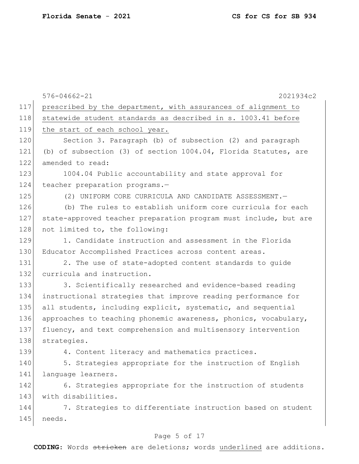|     | $576 - 04662 - 21$<br>2021934c2                                    |
|-----|--------------------------------------------------------------------|
| 117 | prescribed by the department, with assurances of alignment to      |
| 118 | statewide student standards as described in s. 1003.41 before      |
| 119 | the start of each school year.                                     |
| 120 | Section 3. Paragraph (b) of subsection (2) and paragraph           |
| 121 | (b) of subsection (3) of section $1004.04$ , Florida Statutes, are |
| 122 | amended to read:                                                   |
| 123 | 1004.04 Public accountability and state approval for               |
| 124 | teacher preparation programs.-                                     |
| 125 | (2) UNIFORM CORE CURRICULA AND CANDIDATE ASSESSMENT. -             |
| 126 | (b) The rules to establish uniform core curricula for each         |
| 127 | state-approved teacher preparation program must include, but are   |
| 128 | not limited to, the following:                                     |
| 129 | 1. Candidate instruction and assessment in the Florida             |
| 130 | Educator Accomplished Practices across content areas.              |
| 131 | 2. The use of state-adopted content standards to guide             |
| 132 | curricula and instruction.                                         |
| 133 | 3. Scientifically researched and evidence-based reading            |
| 134 | instructional strategies that improve reading performance for      |
| 135 | all students, including explicit, systematic, and sequential       |
| 136 | approaches to teaching phonemic awareness, phonics, vocabulary,    |
| 137 | fluency, and text comprehension and multisensory intervention      |
| 138 | strategies.                                                        |
| 139 | 4. Content literacy and mathematics practices.                     |
| 140 | 5. Strategies appropriate for the instruction of English           |
| 141 | language learners.                                                 |
| 142 | 6. Strategies appropriate for the instruction of students          |
| 143 | with disabilities.                                                 |
| 144 | 7. Strategies to differentiate instruction based on student        |
| 145 | needs.                                                             |

# Page 5 of 17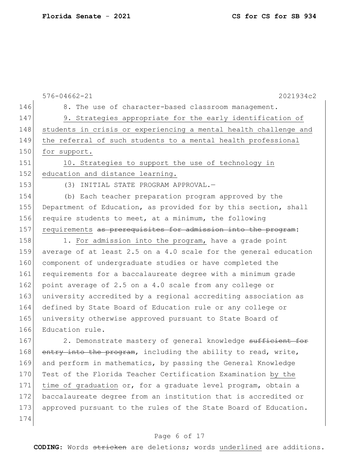|     | $576 - 04662 - 21$<br>2021934c2                                  |
|-----|------------------------------------------------------------------|
| 146 | 8. The use of character-based classroom management.              |
| 147 | 9. Strategies appropriate for the early identification of        |
| 148 | students in crisis or experiencing a mental health challenge and |
| 149 | the referral of such students to a mental health professional    |
| 150 | for support.                                                     |
| 151 | 10. Strategies to support the use of technology in               |
| 152 | education and distance learning.                                 |
| 153 | (3) INITIAL STATE PROGRAM APPROVAL.-                             |
| 154 | (b) Each teacher preparation program approved by the             |
| 155 | Department of Education, as provided for by this section, shall  |
| 156 | require students to meet, at a minimum, the following            |
| 157 | requirements as prerequisites for admission into the program:    |
| 158 | 1. For admission into the program, have a grade point            |
| 159 | average of at least 2.5 on a 4.0 scale for the general education |
| 160 | component of undergraduate studies or have completed the         |
| 161 | requirements for a baccalaureate degree with a minimum grade     |
| 162 | point average of 2.5 on a 4.0 scale from any college or          |
| 163 | university accredited by a regional accrediting association as   |
| 164 | defined by State Board of Education rule or any college or       |
| 165 | university otherwise approved pursuant to State Board of         |
| 166 | Education rule.                                                  |
| 167 | 2. Demonstrate mastery of general knowledge sufficient for       |
| 168 | entry into the program, including the ability to read, write,    |
| 169 | and perform in mathematics, by passing the General Knowledge     |
| 170 | Test of the Florida Teacher Certification Examination by the     |
| 171 | time of graduation or, for a graduate level program, obtain a    |
| 172 | baccalaureate degree from an institution that is accredited or   |
| 173 | approved pursuant to the rules of the State Board of Education.  |
| 174 |                                                                  |
|     | Page 6 of 17                                                     |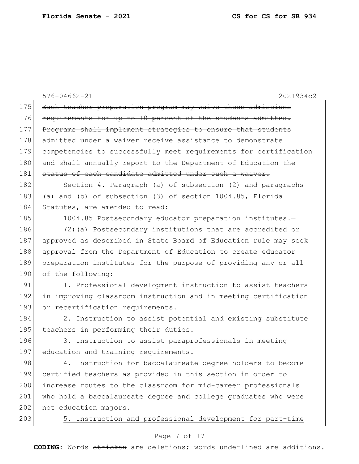|     | $576 - 04662 - 21$<br>2021934c2                                  |
|-----|------------------------------------------------------------------|
| 175 | Each teacher preparation program may waive these admissions      |
| 176 | requirements for up to 10 percent of the students admitted.      |
| 177 | Programs shall implement strategies to ensure that students      |
| 178 | admitted under a waiver receive assistance to demonstrate        |
| 179 | competencies to successfully meet requirements for certification |
| 180 | and shall annually report to the Department of Education the     |
| 181 | status of each candidate admitted under such a waiver.           |
| 182 | Section 4. Paragraph (a) of subsection (2) and paragraphs        |
| 183 | (a) and (b) of subsection (3) of section 1004.85, Florida        |
| 184 | Statutes, are amended to read:                                   |
| 185 | 1004.85 Postsecondary educator preparation institutes.-          |
| 186 | (2) (a) Postsecondary institutions that are accredited or        |
| 187 | approved as described in State Board of Education rule may seek  |
| 188 | approval from the Department of Education to create educator     |
| 189 | preparation institutes for the purpose of providing any or all   |
| 190 | of the following:                                                |
| 191 | 1. Professional development instruction to assist teachers       |
| 192 | in improving classroom instruction and in meeting certification  |
| 193 | or recertification requirements.                                 |
| 194 | 2. Instruction to assist potential and existing substitute       |
| 195 | teachers in performing their duties.                             |
| 196 | 3. Instruction to assist paraprofessionals in meeting            |
| 197 | education and training requirements.                             |
| 198 | 4. Instruction for baccalaureate degree holders to become        |
| 199 | certified teachers as provided in this section in order to       |
| 200 | increase routes to the classroom for mid-career professionals    |
| 201 | who hold a baccalaureate degree and college graduates who were   |
| 202 | not education majors.                                            |
| 203 | Instruction and professional development for part-time<br>5.     |
|     |                                                                  |

# Page 7 of 17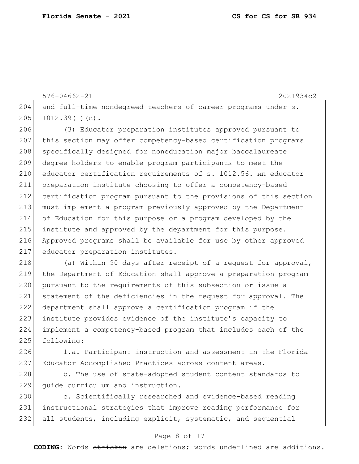```
576-04662-21 2021934c2
204 and full-time nondegreed teachers of career programs under s.
205 1012.39(1)(c).
```
 (3) Educator preparation institutes approved pursuant to this section may offer competency-based certification programs 208 specifically designed for noneducation major baccalaureate degree holders to enable program participants to meet the 210 educator certification requirements of s. 1012.56. An educator preparation institute choosing to offer a competency-based certification program pursuant to the provisions of this section must implement a program previously approved by the Department of Education for this purpose or a program developed by the institute and approved by the department for this purpose. Approved programs shall be available for use by other approved 217 educator preparation institutes.

218 (a) Within 90 days after receipt of a request for approval, 219 the Department of Education shall approve a preparation program 220 pursuant to the requirements of this subsection or issue a 221 statement of the deficiencies in the request for approval. The 222 department shall approve a certification program if the 223 institute provides evidence of the institute's capacity to 224 implement a competency-based program that includes each of the 225 following:

226 1.a. Participant instruction and assessment in the Florida 227 Educator Accomplished Practices across content areas.

228 b. The use of state-adopted student content standards to 229 quide curriculum and instruction.

230 c. Scientifically researched and evidence-based reading 231 instructional strategies that improve reading performance for 232 all students, including explicit, systematic, and sequential

### Page 8 of 17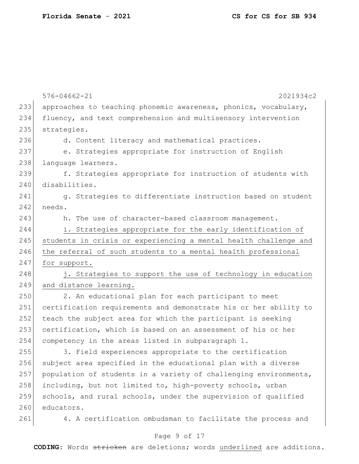|     | $576 - 04662 - 21$<br>2021934c2                                  |
|-----|------------------------------------------------------------------|
| 233 | approaches to teaching phonemic awareness, phonics, vocabulary,  |
| 234 | fluency, and text comprehension and multisensory intervention    |
| 235 | strategies.                                                      |
| 236 | d. Content literacy and mathematical practices.                  |
| 237 | e. Strategies appropriate for instruction of English             |
| 238 | language learners.                                               |
| 239 | f. Strategies appropriate for instruction of students with       |
| 240 | disabilities.                                                    |
| 241 | g. Strategies to differentiate instruction based on student      |
| 242 | needs.                                                           |
| 243 | h. The use of character-based classroom management.              |
| 244 | i. Strategies appropriate for the early identification of        |
| 245 | students in crisis or experiencing a mental health challenge and |
| 246 | the referral of such students to a mental health professional    |
| 247 | for support.                                                     |
| 248 | j. Strategies to support the use of technology in education      |
| 249 | and distance learning.                                           |
| 250 | 2. An educational plan for each participant to meet              |
| 251 | certification requirements and demonstrate his or her ability to |
| 252 | teach the subject area for which the participant is seeking      |
| 253 | certification, which is based on an assessment of his or her     |
| 254 | competency in the areas listed in subparagraph 1.                |
| 255 | 3. Field experiences appropriate to the certification            |
| 256 | subject area specified in the educational plan with a diverse    |
| 257 | population of students in a variety of challenging environments, |
| 258 | including, but not limited to, high-poverty schools, urban       |
| 259 | schools, and rural schools, under the supervision of qualified   |
| 260 | educators.                                                       |
| 261 | 4. A certification ombudsman to facilitate the process and       |

# Page 9 of 17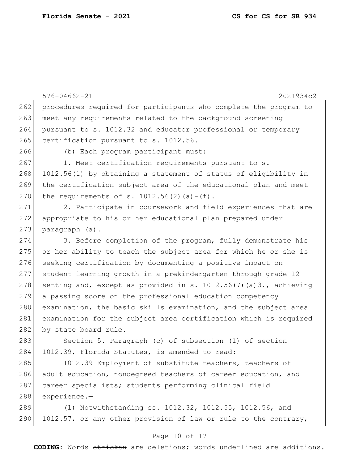288 experience.—

|     | $576 - 04662 - 21$<br>2021934c2                                    |
|-----|--------------------------------------------------------------------|
| 262 | procedures required for participants who complete the program to   |
| 263 | meet any requirements related to the background screening          |
| 264 | pursuant to s. 1012.32 and educator professional or temporary      |
| 265 | certification pursuant to s. 1012.56.                              |
| 266 | (b) Each program participant must:                                 |
| 267 | 1. Meet certification requirements pursuant to s.                  |
| 268 | 1012.56(1) by obtaining a statement of status of eligibility in    |
| 269 | the certification subject area of the educational plan and meet    |
| 270 | the requirements of s. $1012.56(2)$ (a) - (f).                     |
| 271 | 2. Participate in coursework and field experiences that are        |
| 272 |                                                                    |
| 273 | appropriate to his or her educational plan prepared under          |
|     | paragraph (a).                                                     |
| 274 | 3. Before completion of the program, fully demonstrate his         |
| 275 | or her ability to teach the subject area for which he or she is    |
| 276 | seeking certification by documenting a positive impact on          |
| 277 | student learning growth in a prekindergarten through grade 12      |
| 278 | setting and, except as provided in s. 1012.56(7) (a) 3., achieving |
| 279 | a passing score on the professional education competency           |
| 280 | examination, the basic skills examination, and the subject area    |
| 281 | examination for the subject area certification which is required   |
| 282 | by state board rule.                                               |
| 283 | Section 5. Paragraph (c) of subsection (1) of section              |
| 284 | 1012.39, Florida Statutes, is amended to read:                     |
| 285 | 1012.39 Employment of substitute teachers, teachers of             |
| 286 | adult education, nondegreed teachers of career education, and      |
| 287 | career specialists; students performing clinical field             |

289 (1) Notwithstanding ss. 1012.32, 1012.55, 1012.56, and 290 1012.57, or any other provision of law or rule to the contrary,

## Page 10 of 17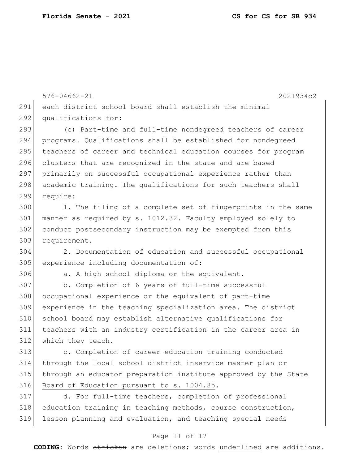576-04662-21 2021934c2 each district school board shall establish the minimal 292 qualifications for: 293 (c) Part-time and full-time nondegreed teachers of career programs. Qualifications shall be established for nondegreed 295 teachers of career and technical education courses for program 296 clusters that are recognized in the state and are based primarily on successful occupational experience rather than 298 academic training. The qualifications for such teachers shall require: 1. The filing of a complete set of fingerprints in the same manner as required by s. 1012.32. Faculty employed solely to conduct postsecondary instruction may be exempted from this 303 requirement. 2. Documentation of education and successful occupational 305 experience including documentation of: a. A high school diploma or the equivalent. b. Completion of 6 years of full-time successful occupational experience or the equivalent of part-time experience in the teaching specialization area. The district school board may establish alternative qualifications for teachers with an industry certification in the career area in which they teach. **b** c. Completion of career education training conducted through the local school district inservice master plan or through an educator preparation institute approved by the State Board of Education pursuant to s. 1004.85. d. For full-time teachers, completion of professional

318 education training in teaching methods, course construction, lesson planning and evaluation, and teaching special needs

### Page 11 of 17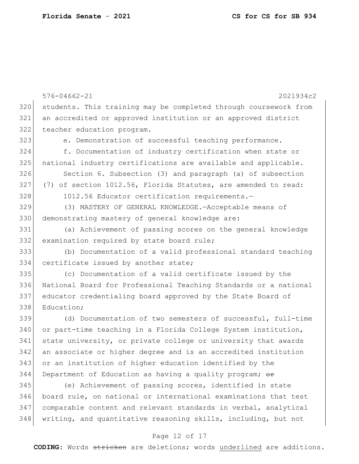576-04662-21 2021934c2 students. This training may be completed through coursework from an accredited or approved institution or an approved district teacher education program. e. Demonstration of successful teaching performance. f. Documentation of industry certification when state or national industry certifications are available and applicable. Section 6. Subsection (3) and paragraph (a) of subsection 327 (7) of section 1012.56, Florida Statutes, are amended to read: 328 1012.56 Educator certification requirements. (3) MASTERY OF GENERAL KNOWLEDGE.—Acceptable means of 330 demonstrating mastery of general knowledge are: (a) Achievement of passing scores on the general knowledge 332 examination required by state board rule; (b) Documentation of a valid professional standard teaching 334 certificate issued by another state; (c) Documentation of a valid certificate issued by the National Board for Professional Teaching Standards or a national educator credentialing board approved by the State Board of 338 Education; 339 (d) Documentation of two semesters of successful, full-time or part-time teaching in a Florida College System institution, state university, or private college or university that awards an associate or higher degree and is an accredited institution or an institution of higher education identified by the Department of Education as having a quality program;  $\theta$  (e) Achievement of passing scores, identified in state board rule, on national or international examinations that test comparable content and relevant standards in verbal, analytical 348 writing, and quantitative reasoning skills, including, but not

### Page 12 of 17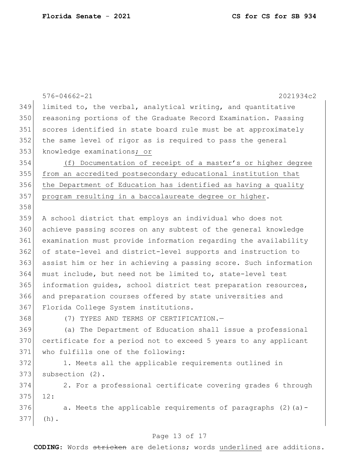|     | $576 - 04662 - 21$<br>2021934c2                                  |
|-----|------------------------------------------------------------------|
| 349 | limited to, the verbal, analytical writing, and quantitative     |
| 350 | reasoning portions of the Graduate Record Examination. Passing   |
| 351 | scores identified in state board rule must be at approximately   |
| 352 | the same level of rigor as is required to pass the general       |
| 353 | knowledge examinations; or                                       |
| 354 | (f) Documentation of receipt of a master's or higher degree      |
| 355 | from an accredited postsecondary educational institution that    |
| 356 | the Department of Education has identified as having a quality   |
| 357 | program resulting in a baccalaureate degree or higher.           |
| 358 |                                                                  |
| 359 | A school district that employs an individual who does not        |
| 360 | achieve passing scores on any subtest of the general knowledge   |
| 361 | examination must provide information regarding the availability  |
| 362 | of state-level and district-level supports and instruction to    |
| 363 | assist him or her in achieving a passing score. Such information |
| 364 | must include, but need not be limited to, state-level test       |
| 365 | information guides, school district test preparation resources,  |
| 366 | and preparation courses offered by state universities and        |
| 367 | Florida College System institutions.                             |
| 368 | (7) TYPES AND TERMS OF CERTIFICATION.-                           |
| 369 | (a) The Department of Education shall issue a professional       |
| 370 | certificate for a period not to exceed 5 years to any applicant  |
| 371 | who fulfills one of the following:                               |
| 372 | 1. Meets all the applicable requirements outlined in             |
| 373 | subsection (2).                                                  |
| 374 | 2. For a professional certificate covering grades 6 through      |
| 375 | 12:                                                              |
| 376 | a. Meets the applicable requirements of paragraphs (2) (a) -     |
| 377 | $(h)$ .                                                          |
|     |                                                                  |

# Page 13 of 17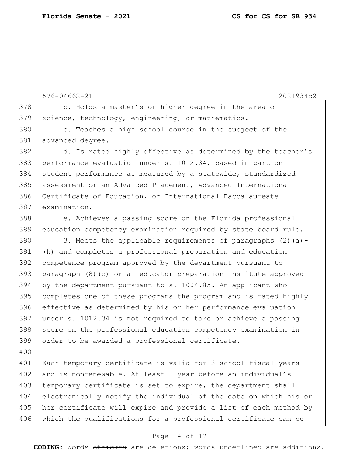576-04662-21 2021934c2 378 b. Holds a master's or higher degree in the area of science, technology, engineering, or mathematics. c. Teaches a high school course in the subject of the advanced degree. 382 d. Is rated highly effective as determined by the teacher's performance evaluation under s. 1012.34, based in part on student performance as measured by a statewide, standardized assessment or an Advanced Placement, Advanced International Certificate of Education, or International Baccalaureate examination. 388 e. Achieves a passing score on the Florida professional education competency examination required by state board rule. 390 3. Meets the applicable requirements of paragraphs  $(2)$  (a) - (h) and completes a professional preparation and education competence program approved by the department pursuant to paragraph (8)(c) or an educator preparation institute approved by the department pursuant to s. 1004.85. An applicant who 395 completes one of these programs the program and is rated highly effective as determined by his or her performance evaluation under s. 1012.34 is not required to take or achieve a passing score on the professional education competency examination in order to be awarded a professional certificate. 

 Each temporary certificate is valid for 3 school fiscal years 402 and is nonrenewable. At least 1 year before an individual's 403 temporary certificate is set to expire, the department shall electronically notify the individual of the date on which his or 405 her certificate will expire and provide a list of each method by 406 which the qualifications for a professional certificate can be

### Page 14 of 17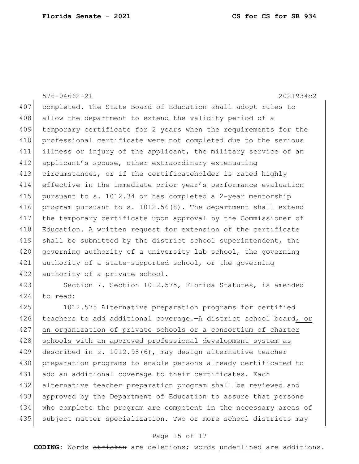576-04662-21 2021934c2 407 completed. The State Board of Education shall adopt rules to 408 allow the department to extend the validity period of a 409 temporary certificate for 2 years when the requirements for the 410 professional certificate were not completed due to the serious 411 illness or injury of the applicant, the military service of an 412 applicant's spouse, other extraordinary extenuating 413 circumstances, or if the certificateholder is rated highly 414 effective in the immediate prior year's performance evaluation 415 pursuant to s. 1012.34 or has completed a 2-year mentorship 416 program pursuant to s. 1012.56(8). The department shall extend 417 the temporary certificate upon approval by the Commissioner of 418 Education. A written request for extension of the certificate 419 shall be submitted by the district school superintendent, the 420 governing authority of a university lab school, the governing 421 authority of a state-supported school, or the governing 422 authority of a private school. 423 Section 7. Section 1012.575, Florida Statutes, is amended 424 to read:

 1012.575 Alternative preparation programs for certified 426 teachers to add additional coverage. A district school board, or an organization of private schools or a consortium of charter 428 schools with an approved professional development system as described in s. 1012.98(6), may design alternative teacher preparation programs to enable persons already certificated to 431 add an additional coverage to their certificates. Each alternative teacher preparation program shall be reviewed and approved by the Department of Education to assure that persons who complete the program are competent in the necessary areas of 435 subject matter specialization. Two or more school districts may

### Page 15 of 17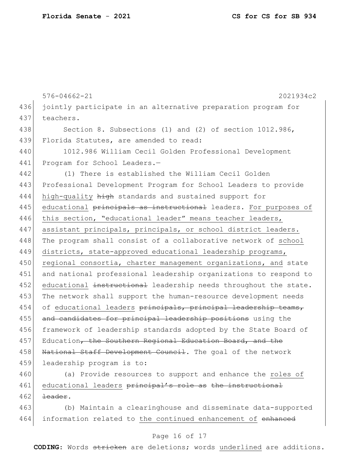576-04662-21 2021934c2 436 jointly participate in an alternative preparation program for 437 teachers. 438 Section 8. Subsections (1) and (2) of section 1012.986, 439 Florida Statutes, are amended to read: 440 1012.986 William Cecil Golden Professional Development 441 Program for School Leaders.-442 (1) There is established the William Cecil Golden 443 Professional Development Program for School Leaders to provide 444 high-quality high standards and sustained support for 445 educational principals as instructional leaders. For purposes of 446 this section, "educational leader" means teacher leaders, 447 assistant principals, principals, or school district leaders. 448 The program shall consist of a collaborative network of school 449 districts, state-approved educational leadership programs, 450 regional consortia, charter management organizations, and state 451 and national professional leadership organizations to respond to 452 educational instructional leadership needs throughout the state. 453 The network shall support the human-resource development needs 454 of educational leaders principals, principal leadership teams, 455 and candidates for principal leadership positions using the 456 framework of leadership standards adopted by the State Board of 457 Education, the Southern Regional Education Board, and the 458 National Staff Development Council. The goal of the network 459 leadership program is to:

460 (a) Provide resources to support and enhance the roles of 461 educational leaders principal's role as the instructional  $462$  <del>leader</del>.

463 (b) Maintain a clearinghouse and disseminate data-supported 464 information related to the continued enhancement of enhanced

## Page 16 of 17